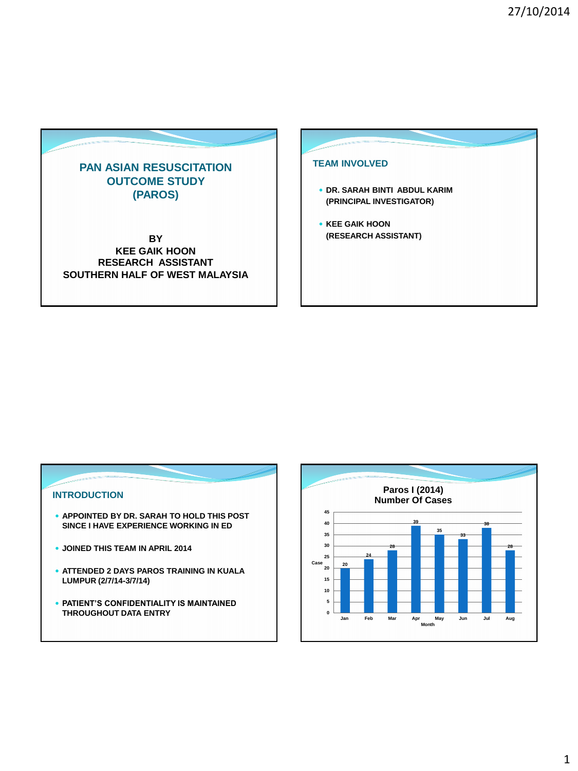## **PAN ASIAN RESUSCITATION OUTCOME STUDY (PAROS) BY KEE GAIK HOON**

## **RESEARCH ASSISTANT SOUTHERN HALF OF WEST MALAYSIA**

## **TEAM INVOLVED**

- **DR. SARAH BINTI ABDUL KARIM (PRINCIPAL INVESTIGATOR)**
- **KEE GAIK HOON (RESEARCH ASSISTANT)**



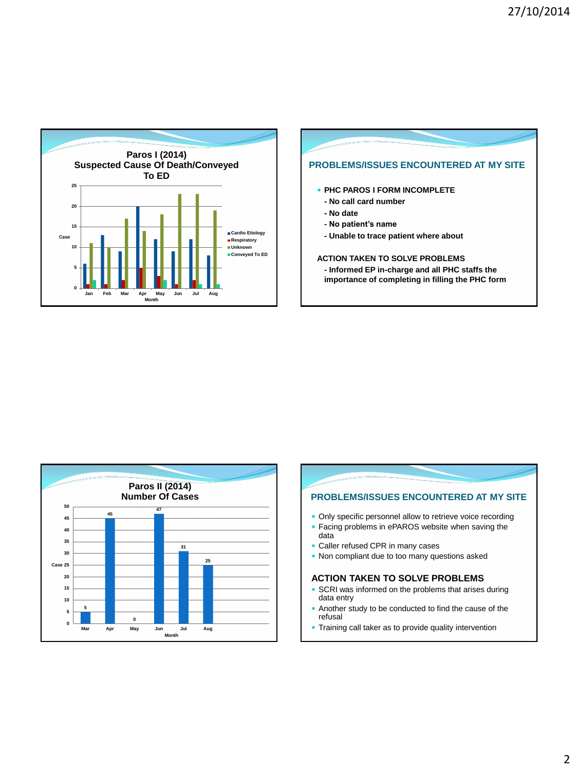